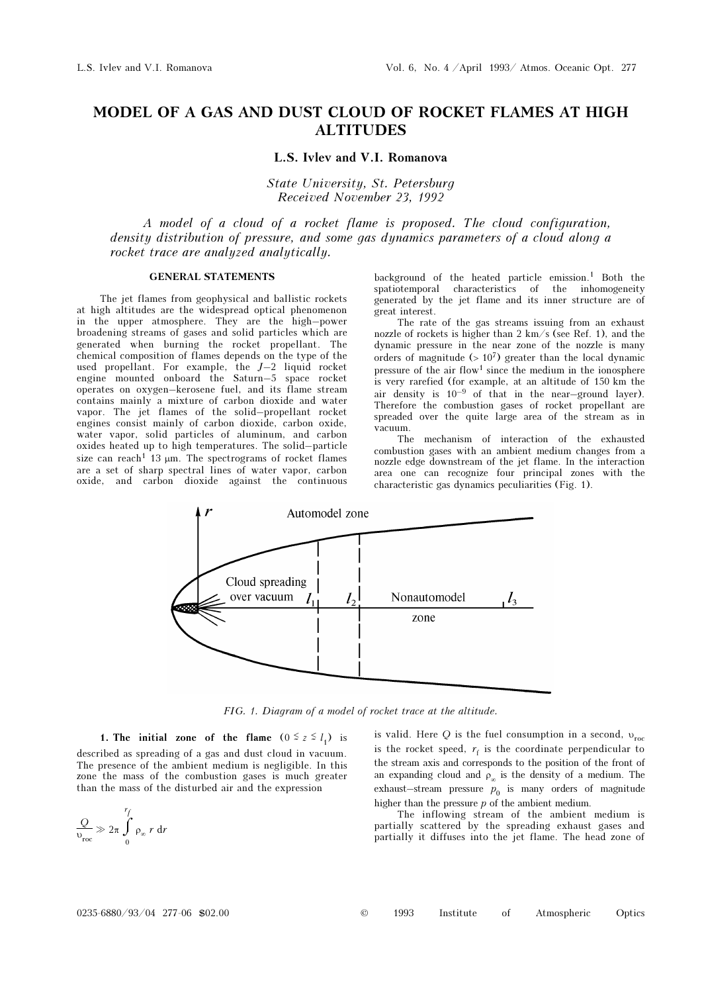# MODEL OF A GAS AND DUST CLOUD OF ROCKET FLAMES AT HIGH ALTITUDES

### L.S. Ivlev and V.I. Romanova

State University, St. Petersburg Received November 23, 1992

A model of a cloud of a rocket flame is proposed. The cloud configuration, density distribution of pressure, and some gas dynamics parameters of a cloud along a rocket trace are analyzed analytically.

## GENERAL STATEMENTS

The jet flames from geophysical and ballistic rockets at high altitudes are the widespread optical phenomenon in the upper atmosphere. They are the high–power broadening streams of gases and solid particles which are generated when burning the rocket propellant. The chemical composition of flames depends on the type of the used propellant. For example, the  $J-2$  liquid rocket engine mounted onboard the Saturn–5 space rocket operates on oxygen–kerosene fuel, and its flame stream contains mainly a mixture of carbon dioxide and water vapor. The jet flames of the solid–propellant rocket engines consist mainly of carbon dioxide, carbon oxide, water vapor, solid particles of aluminum, and carbon oxides heated up to high temperatures. The solid–particle size can reach<sup>1</sup> 13  $\mu$ m. The spectrograms of rocket flames are a set of sharp spectral lines of water vapor, carbon oxide, and carbon dioxide against the continuous

background of the heated particle emission.<sup>1</sup> Both the spatiotemporal characteristics of the inhomogeneity generated by the jet flame and its inner structure are of great interest.

The rate of the gas streams issuing from an exhaust nozzle of rockets is higher than 2 km/s (see Ref. 1), and the dynamic pressure in the near zone of the nozzle is many orders of magnitude  $(> 10^7)$  greater than the local dynamic pressure of the air flow<sup>1</sup> since the medium in the ionosphere is very rarefied (for example, at an altitude of 150 km the air density is  $10^{-9}$  of that in the near-ground layer). Therefore the combustion gases of rocket propellant are spreaded over the quite large area of the stream as in vacuum.

The mechanism of interaction of the exhausted combustion gases with an ambient medium changes from a nozzle edge downstream of the jet flame. In the interaction area one can recognize four principal zones with the characteristic gas dynamics peculiarities (Fig. 1).



FIG. 1. Diagram of a model of rocket trace at the altitude.

1. The initial zone of the flame  $(0 \le z \le l_1)$  is described as spreading of a gas and dust cloud in vacuum. The presence of the ambient medium is negligible. In this zone the mass of the combustion gases is much greater than the mass of the disturbed air and the expression

$$
\frac{Q}{v_{\text{roc}}} \gg 2\pi \int_{0}^{r_f} \rho_{\infty} r dr
$$

is valid. Here Q is the fuel consumption in a second,  $v_{\text{roc}}$ is the rocket speed,  $r_f$  is the coordinate perpendicular to the stream axis and corresponds to the position of the front of an expanding cloud and  $\rho_{\infty}$  is the density of a medium. The exhaust–stream pressure  $p_0$  is many orders of magnitude higher than the pressure  $p$  of the ambient medium.

The inflowing stream of the ambient medium is partially scattered by the spreading exhaust gases and partially it diffuses into the jet flame. The head zone of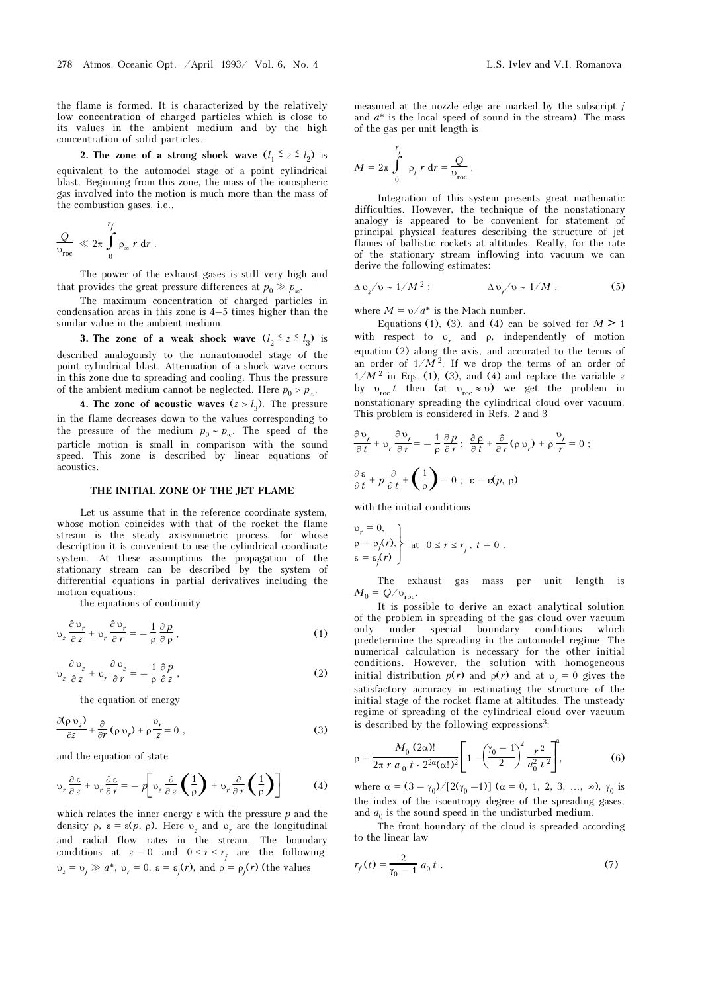the flame is formed. It is characterized by the relatively low concentration of charged particles which is close to its values in the ambient medium and by the high concentration of solid particles.

2. The zone of a strong shock wave  $(l_1 \le z \le l_2)$  is equivalent to the automodel stage of a point cylindrical blast. Beginning from this zone, the mass of the ionospheric gas involved into the motion is much more than the mass of the combustion gases, i.e.,

$$
\frac{Q}{v_{\text{roc}}} \ll 2\pi \int_{0}^{r_f} \rho_{\infty} r dr.
$$

The power of the exhaust gases is still very high and that provides the great pressure differences at  $p_0 \gg p_{\infty}$ .

The maximum concentration of charged particles in condensation areas in this zone is 4–5 times higher than the similar value in the ambient medium.

3. The zone of a weak shock wave  $(l_2 \le z \le l_3)$  is described analogously to the nonautomodel stage of the point cylindrical blast. Attenuation of a shock wave occurs in this zone due to spreading and cooling. Thus the pressure of the ambient medium cannot be neglected. Here  $p_0 > p_\infty$ .

4. The zone of acoustic waves  $(z > l_3)$ . The pressure in the flame decreases down to the values corresponding to the pressure of the medium  $p_0 \sim p_{\infty}$ . The speed of the particle motion is small in comparison with the sound speed. This zone is described by linear equations of acoustics.

#### THE INITIAL ZONE OF THE JET FLAME

Let us assume that in the reference coordinate system, whose motion coincides with that of the rocket the flame stream is the steady axisymmetric process, for whose description it is convenient to use the cylindrical coordinate system. At these assumptions the propagation of the stationary stream can be described by the system of differential equations in partial derivatives including the motion equations:

the equations of continuity

$$
\upsilon_z \frac{\partial \upsilon_r}{\partial z} + \upsilon_r \frac{\partial \upsilon_r}{\partial r} = -\frac{1}{\rho} \frac{\partial p}{\partial \rho},
$$
 (1)

$$
\upsilon_z \frac{\partial \upsilon_z}{\partial z} + \upsilon_r \frac{\partial \upsilon_z}{\partial r} = -\frac{1}{\rho} \frac{\partial p}{\partial z},\tag{2}
$$

the equation of energy

$$
\frac{\partial(\rho v_z)}{\partial z} + \frac{\partial}{\partial r} (\rho v_r) + \rho \frac{v_r}{z} = 0 , \qquad (3)
$$

and the equation of state

$$
\upsilon_{z}\frac{\partial\,\varepsilon}{\partial\,z} + \upsilon_{r}\frac{\partial\,\varepsilon}{\partial\,r} = -\,p\bigg[\upsilon_{z}\frac{\partial}{\partial\,z}\left(\frac{1}{\rho}\right) + \upsilon_{r}\frac{\partial}{\partial\,r}\left(\frac{1}{\rho}\right)\bigg] \tag{4}
$$

which relates the inner energy  $\varepsilon$  with the pressure  $p$  and the density  $\rho$ ,  $\varepsilon = \varepsilon(p, \rho)$ . Here  $v_z$  and  $v_r$  are the longitudinal and radial flow rates in the stream. The boundary conditions at  $z = 0$  and  $0 \le r \le r_j$  are the following:  $v_z = v_j \gg a^*$ ,  $v_r = 0$ ,  $\varepsilon = \varepsilon_j(r)$ , and  $\rho = \rho_j(r)$  (the values

measured at the nozzle edge are marked by the subscript  $j$ and  $a^*$  is the local speed of sound in the stream). The mass of the gas per unit length is

$$
M = 2\pi \int_{0}^{r_j} \rho_j r dr = \frac{Q}{v_{\text{roc}}}.
$$

Integration of this system presents great mathematic difficulties. However, the technique of the nonstationary analogy is appeared to be convenient for statement of principal physical features describing the structure of jet flames of ballistic rockets at altitudes. Really, for the rate of the stationary stream inflowing into vacuum we can derive the following estimates:

$$
\Delta v_z / v \sim 1/M^2 \; ; \qquad \Delta v_r / v \sim 1/M \; , \qquad (5)
$$

where  $M = v/a^*$  is the Mach number.

Equations (1), (3), and (4) can be solved for  $M \ge 1$ with respect to  $v_r$  and  $\rho$ , independently of motion equation (2) along the axis, and accurated to the terms of an order of  $1/M^2$ . If we drop the terms of an order of  $1/M<sup>2</sup>$  in Eqs. (1), (3), and (4) and replace the variable z by  $v_{\text{roc}} t$  then (at  $v_{\text{roc}} \approx v$ ) we get the problem in nonstationary spreading the cylindrical cloud over vacuum. This problem is considered in Refs. 2 and 3

$$
\frac{\partial v_r}{\partial t} + v_r \frac{\partial v_r}{\partial r} = -\frac{1}{\rho} \frac{\partial p}{\partial r}; \frac{\partial \rho}{\partial t} + \frac{\partial}{\partial r} (\rho v_r) + \rho \frac{v_r}{r} = 0 ;
$$
  

$$
\frac{\partial \varepsilon}{\partial t} + p \frac{\partial}{\partial t} + \left(\frac{1}{\rho}\right) = 0; \varepsilon = \varepsilon(p, \rho)
$$

with the initial conditions

$$
\begin{cases}\nv_r = 0, \\
\rho = \rho_j(r), \\
\varepsilon = \varepsilon_j(r)\n\end{cases} \text{ at } 0 \le r \le r_j, t = 0.
$$

The exhaust gas mass per unit length is  $M_0 = Q/v_{\text{roc}}$ .

It is possible to derive an exact analytical solution of the problem in spreading of the gas cloud over vacuum only under special boundary conditions which predetermine the spreading in the automodel regime. The numerical calculation is necessary for the other initial conditions. However, the solution with homogeneous initial distribution  $p(r)$  and  $p(r)$  and at  $v_r = 0$  gives the satisfactory accuracy in estimating the structure of the initial stage of the rocket flame at altitudes. The unsteady regime of spreading of the cylindrical cloud over vacuum is described by the following expressions<sup>3</sup>:

$$
\rho = \frac{M_0 (2\alpha)!}{2\pi r a_0 t \cdot 2^{2\alpha} (\alpha!)^2} \left[ 1 - \left(\frac{\gamma_0 - 1}{2}\right)^2 \frac{r^2}{a_0^2 t^2} \right]^a, \tag{6}
$$

where  $\alpha = (3 - \gamma_0) / [2(\gamma_0 - 1)]$  ( $\alpha = 0, 1, 2, 3, ..., \infty$ ),  $\gamma_0$  is the index of the isoentropy degree of the spreading gases, and  $a_0$  is the sound speed in the undisturbed medium.

The front boundary of the cloud is spreaded according to the linear law

$$
r_f(t) = \frac{2}{\gamma_0 - 1} a_0 t \tag{7}
$$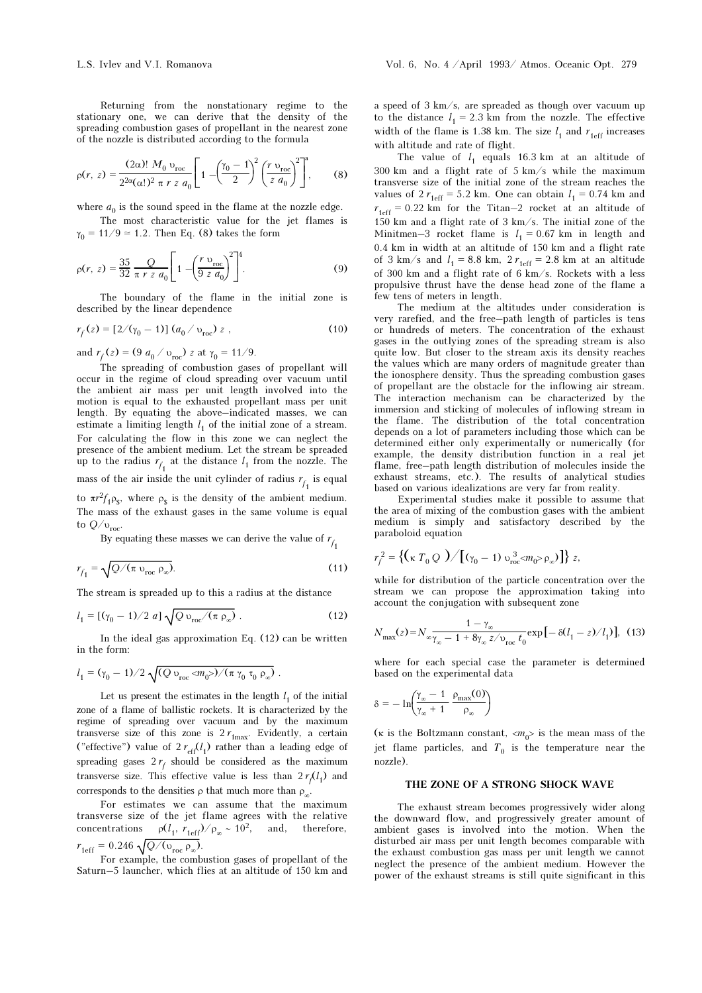Returning from the nonstationary regime to the stationary one, we can derive that the density of the spreading combustion gases of propellant in the nearest zone of the nozzle is distributed according to the formula

$$
\rho(r, z) = \frac{(2\alpha)!}{2^{2\alpha}(\alpha!)^2 \pi r z a_0} \left[ 1 - \left(\frac{\gamma_0 - 1}{2}\right)^2 \left(\frac{r v_{\text{roc}}}{2 a_0}\right)^2 \right]^4, \quad (8)
$$

where  $a_0$  is the sound speed in the flame at the nozzle edge.

The most characteristic value for the jet flames is  $\gamma_0 = 11/9 \approx 1.2$ . Then Eq. (8) takes the form

$$
\rho(r, z) = \frac{35}{32} \frac{Q}{\pi r z a_0} \left[ 1 - \left( \frac{r v_{\text{roc}}}{9 z a_0} \right)^2 \right]^4.
$$
 (9)

The boundary of the flame in the initial zone is described by the linear dependence

$$
r_f(z) = [2/(\gamma_0 - 1)] (a_0 / v_{\text{roc}}) z , \qquad (10)
$$

and  $r_f(z) = (9 \ a_0 / v_{\text{roc}}) z$  at  $\gamma_0 = 11/9$ .

The spreading of combustion gases of propellant will occur in the regime of cloud spreading over vacuum until the ambient air mass per unit length involved into the motion is equal to the exhausted propellant mass per unit length. By equating the above–indicated masses, we can estimate a limiting length  $l_1$  of the initial zone of a stream. For calculating the flow in this zone we can neglect the presence of the ambient medium. Let the stream be spreaded up to the radius  $r_{f_1}$  at the distance  $l_1$  from the nozzle. The mass of the air inside the unit cylinder of radius  $r_{f_1}$  is equal to  $\pi r^2 f_1 \rho_s$ , where  $\rho_s$  is the density of the ambient medium. The mass of the exhaust gases in the same volume is equal to  $Q/v_{\text{roc}}$ .

By equating these masses we can derive the value of  $r_{f_1}$ 

$$
r_{f_1} = \sqrt{Q/(\pi \nu_{\text{roc}} \rho_{\infty})}.
$$
 (11)

The stream is spreaded up to this a radius at the distance

$$
l_1 = [(\gamma_0 - 1)/2 \; a] \sqrt{Q \, v_{\text{rec}} / (\pi \, \rho_{\infty})} \; . \tag{12}
$$

In the ideal gas approximation Eq. (12) can be written in the form:

$$
l_1 = (\gamma_0 - 1)/2 \sqrt{(Q v_{\text{roc}} \langle m_0 \rangle) / (\pi \gamma_0 \tau_0 \rho_{\infty})}.
$$

Let us present the estimates in the length  $l_1$  of the initial zone of a flame of ballistic rockets. It is characterized by the regime of spreading over vacuum and by the maximum transverse size of this zone is  $2 r_{\text{1max}}$ . Evidently, a certain ("effective") value of  $2 r_{\text{eff}}(l_1)$  rather than a leading edge of spreading gases  $2r_f$  should be considered as the maximum transverse size. This effective value is less than  $2 r f(l_1)$  and corresponds to the densities  $\rho$  that much more than  $\rho_{\infty}$ .

For estimates we can assume that the maximum transverse size of the jet flame agrees with the relative concentrations  $\rho(l_1, r_{\text{1eff}})/\rho_\infty \sim 10^2$ , and, therefore,  $r_{1 \text{eff}} = 0.246 \sqrt{Q/(\upsilon_{\text{roc}} \rho_{\infty})}.$ 

For example, the combustion gases of propellant of the Saturn–5 launcher, which flies at an altitude of 150 km and a speed of 3 km/s, are spreaded as though over vacuum up to the distance  $l_1 = 2.3$  km from the nozzle. The effective width of the flame is 1.38 km. The size  $l_1$  and  $r_{\text{left}}$  increases with altitude and rate of flight.

The value of  $l_1$  equals 16.3 km at an altitude of 300 km and a flight rate of 5 km/s while the maximum transverse size of the initial zone of the stream reaches the values of  $2 r_{\text{1eff}} = 5.2 \text{ km}$ . One can obtain  $l_1 = 0.74 \text{ km}$  and  $r_{\text{1eff}} = 0.22$  km for the Titan–2 rocket at an altitude of  $150~{\rm km}$  and a flight rate of  $3~{\rm km/s}.$  The initial zone of the Minitmen-3 rocket flame is  $l_1 = 0.67$  km in length and 0.4 km in width at an altitude of 150 km and a flight rate of 3 km/s and  $l_1 = 8.8$  km,  $2 r_{\text{left}} = 2.8$  km at an altitude of 300 km and a flight rate of 6 km/s. Rockets with a less propulsive thrust have the dense head zone of the flame a few tens of meters in length.

The medium at the altitudes under consideration is very rarefied, and the free–path length of particles is tens or hundreds of meters. The concentration of the exhaust gases in the outlying zones of the spreading stream is also quite low. But closer to the stream axis its density reaches the values which are many orders of magnitude greater than the ionosphere density. Thus the spreading combustion gases of propellant are the obstacle for the inflowing air stream. The interaction mechanism can be characterized by the immersion and sticking of molecules of inflowing stream in the flame. The distribution of the total concentration depends on a lot of parameters including those which can be determined either only experimentally or numerically (for example, the density distribution function in a real jet flame, free–path length distribution of molecules inside the exhaust streams, etc.). The results of analytical studies based on various idealizations are very far from reality.

Experimental studies make it possible to assume that the area of mixing of the combustion gases with the ambient medium is simply and satisfactory described by the paraboloid equation

$$
r_f^2 = \{ (\kappa T_0 Q) / [(\gamma_0 - 1) v_{\text{roc}}^3 \langle m_0 \rangle \rho_\infty) ] \} z,
$$

while for distribution of the particle concentration over the stream we can propose the approximation taking into account the conjugation with subsequent zone

$$
N_{\text{max}}(z) = N_{\infty} \frac{1 - \gamma_{\infty}}{\gamma_{\infty} - 1 + 8\gamma_{\infty} z / \nu_{\text{roc}}} t_0^{-1} \exp\left[-\delta(l_1 - z) / l_1\right], \tag{13}
$$

where for each special case the parameter is determined based on the experimental data

$$
\delta = -\ln\!\!\left(\!\frac{\gamma_{\infty}-1}{\gamma_{\infty}+1}\,\frac{\rho_{max}(0)}{\rho_{\infty}}\!\right)
$$

( $\kappa$  is the Boltzmann constant,  $\langle m_0 \rangle$  is the mean mass of the jet flame particles, and  $T_0$  is the temperature near the nozzle).

### THE ZONE OF A STRONG SHOCK WAVE

The exhaust stream becomes progressively wider along the downward flow, and progressively greater amount of ambient gases is involved into the motion. When the disturbed air mass per unit length becomes comparable with the exhaust combustion gas mass per unit length we cannot neglect the presence of the ambient medium. However the power of the exhaust streams is still quite significant in this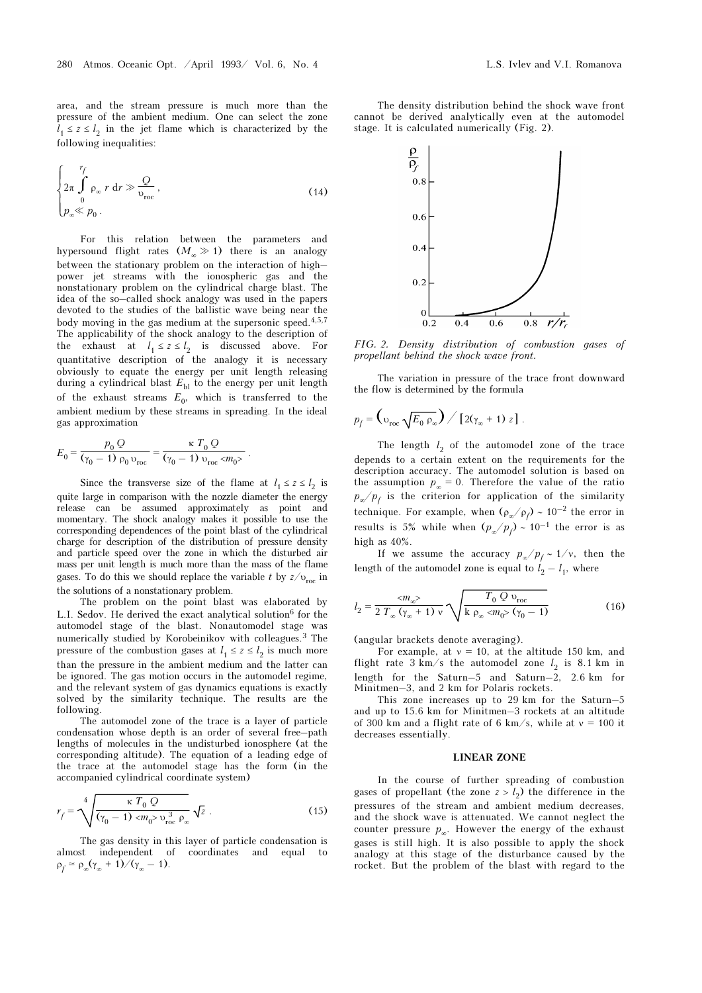area, and the stream pressure is much more than the pressure of the ambient medium. One can select the zone  $l_1 \leq z \leq l_2$  in the jet flame which is characterized by the following inequalities:

$$
\begin{cases}\n\frac{r_f}{2\pi} \int_{0}^{\infty} \rho_{\infty} r \, dr \gg \frac{Q}{v_{\text{roc}}}, \\
\rho_{\infty} \ll \rho_0.\n\end{cases} (14)
$$

For this relation between the parameters and hypersound flight rates  $(M_\infty \gg 1)$  there is an analogy between the stationary problem on the interaction of high– power jet streams with the ionospheric gas and the nonstationary problem on the cylindrical charge blast. The idea of the so–called shock analogy was used in the papers devoted to the studies of the ballistic wave being near the body moving in the gas medium at the supersonic speed.<sup>4,5,7</sup> The applicability of the shock analogy to the description of the exhaust at  $l_1 \leq z \leq l_2$  is discussed above. For quantitative description of the analogy it is necessary obviously to equate the energy per unit length releasing during a cylindrical blast  $E_{\text{bl}}$  to the energy per unit length of the exhaust streams  $E_0$ , which is transferred to the ambient medium by these streams in spreading. In the ideal gas approximation

$$
E_0 = \frac{p_0 Q}{(\gamma_0 - 1) \rho_0 v_{\text{roc}}} = \frac{\kappa T_0 Q}{(\gamma_0 - 1) v_{\text{roc}} \langle m_0 \rangle}.
$$

Since the transverse size of the flame at  $l_1 \le z \le l_2$  is quite large in comparison with the nozzle diameter the energy release can be assumed approximately as point and momentary. The shock analogy makes it possible to use the corresponding dependences of the point blast of the cylindrical charge for description of the distribution of pressure density and particle speed over the zone in which the disturbed air mass per unit length is much more than the mass of the flame gases. To do this we should replace the variable t by  $z/v_{\text{rec}}$  in the solutions of a nonstationary problem.

The problem on the point blast was elaborated by L.I. Sedov. He derived the exact analytical solution<sup>6</sup> for the automodel stage of the blast. Nonautomodel stage was numerically studied by Korobeinikov with colleagues.3 The pressure of the combustion gases at  $l_1 \leq z \leq l_2$  is much more than the pressure in the ambient medium and the latter can be ignored. The gas motion occurs in the automodel regime, and the relevant system of gas dynamics equations is exactly solved by the similarity technique. The results are the following.

The automodel zone of the trace is a layer of particle condensation whose depth is an order of several free–path lengths of molecules in the undisturbed ionosphere (at the corresponding altitude). The equation of a leading edge of the trace at the automodel stage has the form (in the accompanied cylindrical coordinate system)

$$
r_f = \sqrt[4]{\frac{\kappa T_0 Q}{(\gamma_0 - 1) \langle m_0 \rangle v_{\text{roc}}^3 \rho_{\infty}}} \sqrt{z} . \tag{15}
$$

The gas density in this layer of particle condensation is almost independent of coordinates and equal to  $\rho_f \simeq \rho_\infty(\gamma_\infty + 1)/(\gamma_\infty - 1).$ 

The density distribution behind the shock wave front cannot be derived analytically even at the automodel stage. It is calculated numerically (Fig. 2).



FIG. 2. Density distribution of combustion gases of propellant behind the shock wave front.

The variation in pressure of the trace front downward the flow is determined by the formula

$$
p_f = \left(\frac{1}{\nu_{\text{roc}}\sqrt{E_0 \rho_{\infty}}}\right) / \left[2(\gamma_{\infty} + 1) z\right].
$$

The length  $l_2$  of the automodel zone of the trace depends to a certain extent on the requirements for the description accuracy. The automodel solution is based on the assumption  $p_{\infty} = 0$ . Therefore the value of the ratio  $p_{\infty}/p_{f}$  is the criterion for application of the similarity technique. For example, when  $(\rho_{\alpha}/\rho_{f}) \sim 10^{-2}$  the error in results is 5% while when  $(p_{\alpha}/p_{f}) \sim 10^{-1}$  the error is as high as 40%.

If we assume the accuracy  $p_{\infty}/p_f \sim 1/\nu$ , then the length of the automodel zone is equal to  $l_2 - l_1$ , where

$$
l_2 = \frac{2m_{\infty}^2}{2 T_{\infty} (\gamma_{\infty} + 1) v} \sqrt{\frac{T_0 Q v_{\text{roc}}}{k \rho_{\infty} 2m_0^2 (\gamma_0 - 1)}}
$$
(16)

(angular brackets denote averaging).

For example, at  $v = 10$ , at the altitude 150 km, and flight rate  $3 \text{ km/s}$  the automodel zone  $l_2$  is  $8.1 \text{ km}$  in length for the Saturn–5 and Saturn–2, 2.6 km for Minitmen–3, and 2 km for Polaris rockets.

This zone increases up to 29 km for the Saturn–5 and up to 15.6 km for Minitmen–3 rockets at an altitude of 300 km and a flight rate of 6 km/s, while at  $v = 100$  it decreases essentially.

#### LINEAR ZONE

In the course of further spreading of combustion gases of propellant (the zone  $z > l_2$ ) the difference in the pressures of the stream and ambient medium decreases, and the shock wave is attenuated. We cannot neglect the counter pressure  $p_{\infty}$ . However the energy of the exhaust gases is still high. It is also possible to apply the shock analogy at this stage of the disturbance caused by the rocket. But the problem of the blast with regard to the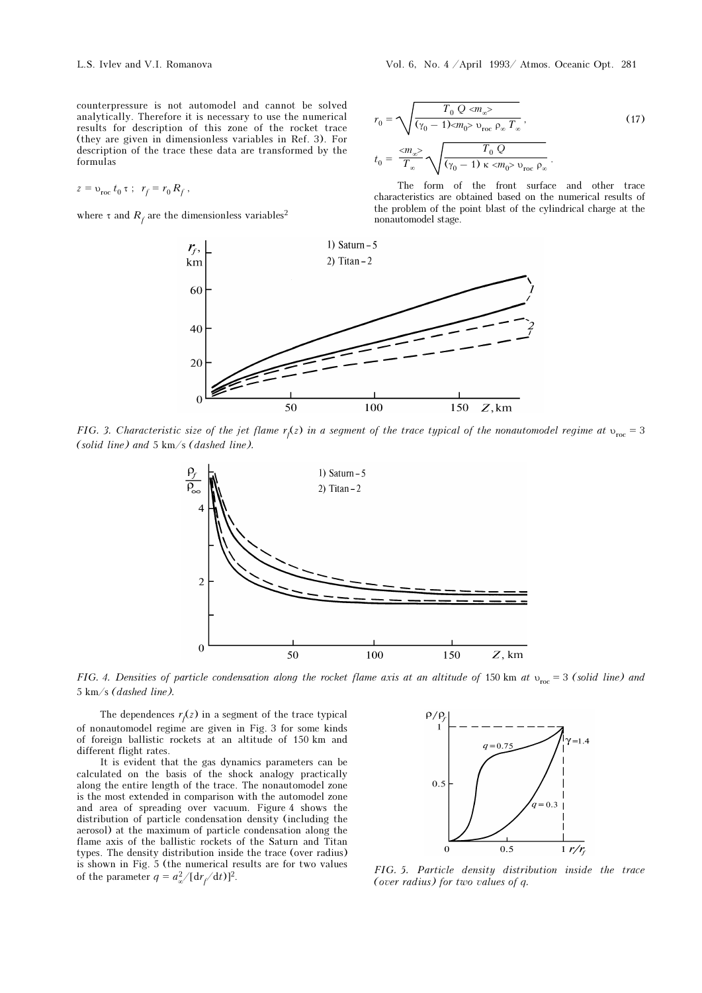counterpressure is not automodel and cannot be solved analytically. Therefore it is necessary to use the numerical results for description of this zone of the rocket trace (they are given in dimensionless variables in Ref. 3). For description of the trace these data are transformed by the formulas

$$
z = v_{\text{roc}} t_0 \tau \; ; \; r_f = r_0 R_f \; ,
$$

where  $\tau$  and  $R_f$  are the dimensionless variables<sup>2</sup>

 $r_0 =$  $T_0 Q \ll m_{\infty}$ (γ<sub>0</sub> – 1)<m<sub>0</sub>>  $v_{\text{roc}}$   $\rho_{\infty} T_{\infty}$  $(17)$  $t_0 =$  $\langle m_{\infty} \rangle$  $T_{\infty}$  $T_0 Q$  $\frac{1}{(\gamma_0 - 1) \kappa \langle m_0 \rangle \nu_{\text{roc}} \rho_{\infty}}$ .

The form of the front surface and other trace characteristics are obtained based on the numerical results of the problem of the point blast of the cylindrical charge at the nonautomodel stage.



FIG. 3. Characteristic size of the jet flame r<sub>f</sub>(z) in a segment of the trace typical of the nonautomodel regime at  $v_{\rm roc}$  = 3 (solid line) and 5 km/s (dashed line).



FIG. 4. Densities of particle condensation along the rocket flame axis at an altitude of 150 km at  $v_{\text{roc}} = 3$  (solid line) and 5 km/s (dashed line).

The dependences  $r_f(z)$  in a segment of the trace typical of nonautomodel regime are given in Fig. 3 for some kinds of foreign ballistic rockets at an altitude of 150 km and different flight rates.

It is evident that the gas dynamics parameters can be calculated on the basis of the shock analogy practically along the entire length of the trace. The nonautomodel zone is the most extended in comparison with the automodel zone and area of spreading over vacuum. Figure 4 shows the distribution of particle condensation density (including the aerosol) at the maximum of particle condensation along the flame axis of the ballistic rockets of the Saturn and Titan types. The density distribution inside the trace (over radius) is shown in Fig. 5 (the numerical results are for two values of the parameter  $q = a_{\infty}^2 / [dr_f]$ 



FIG. 5. Particle density distribution inside the trace (over radius) for two values of q.